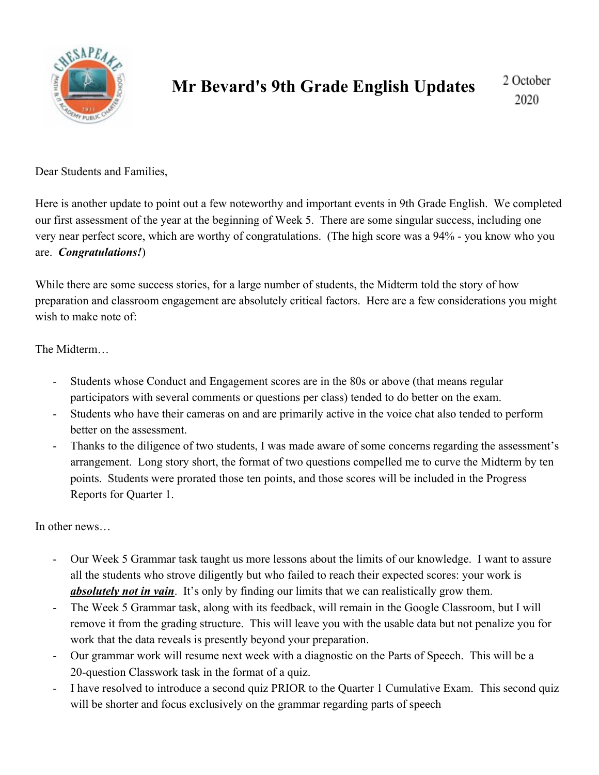

## **Mr Bevard's 9th Grade English Updates**

2 October 2020

Dear Students and Families,

Here is another update to point out a few noteworthy and important events in 9th Grade English. We completed our first assessment of the year at the beginning of Week 5. There are some singular success, including one very near perfect score, which are worthy of congratulations. (The high score was a 94% - you know who you are. *Congratulations!*)

While there are some success stories, for a large number of students, the Midterm told the story of how preparation and classroom engagement are absolutely critical factors. Here are a few considerations you might wish to make note of:

The Midterm…

- Students whose Conduct and Engagement scores are in the 80s or above (that means regular participators with several comments or questions per class) tended to do better on the exam.
- Students who have their cameras on and are primarily active in the voice chat also tended to perform better on the assessment.
- Thanks to the diligence of two students, I was made aware of some concerns regarding the assessment's arrangement. Long story short, the format of two questions compelled me to curve the Midterm by ten points. Students were prorated those ten points, and those scores will be included in the Progress Reports for Quarter 1.

In other news…

- Our Week 5 Grammar task taught us more lessons about the limits of our knowledge. I want to assure all the students who strove diligently but who failed to reach their expected scores: your work is *absolutely not in vain*. It's only by finding our limits that we can realistically grow them.
- The Week 5 Grammar task, along with its feedback, will remain in the Google Classroom, but I will remove it from the grading structure. This will leave you with the usable data but not penalize you for work that the data reveals is presently beyond your preparation.
- Our grammar work will resume next week with a diagnostic on the Parts of Speech. This will be a 20-question Classwork task in the format of a quiz.
- I have resolved to introduce a second quiz PRIOR to the Quarter 1 Cumulative Exam. This second quiz will be shorter and focus exclusively on the grammar regarding parts of speech